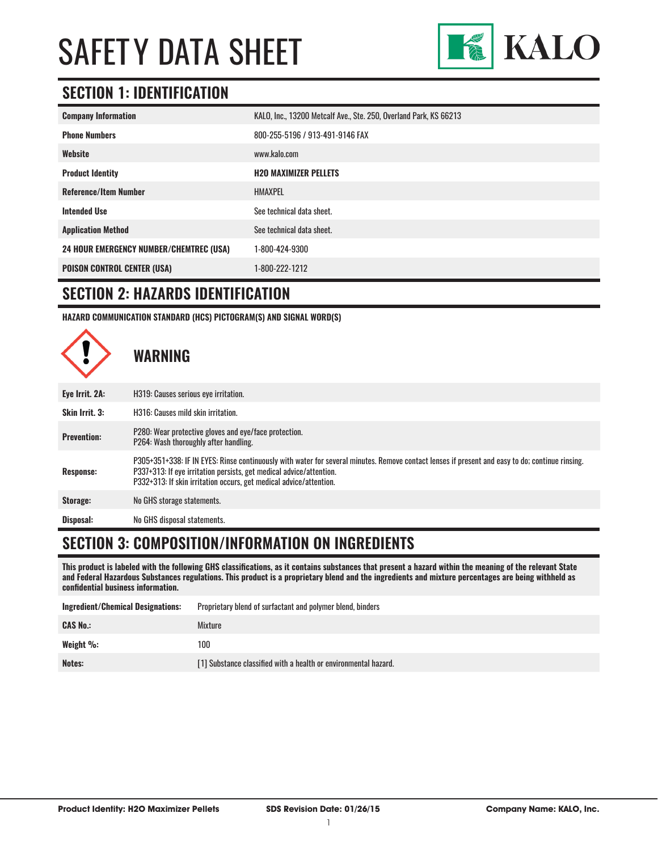

### **SECTION 1: IDENTIFICATION**

| <b>Company Information</b>                     | KALO, Inc., 13200 Metcalf Ave., Ste. 250, Overland Park, KS 66213 |
|------------------------------------------------|-------------------------------------------------------------------|
| <b>Phone Numbers</b>                           | 800-255-5196 / 913-491-9146 FAX                                   |
| Website                                        | www.kalo.com                                                      |
| <b>Product Identity</b>                        | <b>H2O MAXIMIZER PELLETS</b>                                      |
| <b>Reference/Item Number</b>                   | <b>HMAXPEL</b>                                                    |
| <b>Intended Use</b>                            | See technical data sheet.                                         |
| <b>Application Method</b>                      | See technical data sheet.                                         |
| <b>24 HOUR EMERGENCY NUMBER/CHEMTREC (USA)</b> | 1-800-424-9300                                                    |
| <b>POISON CONTROL CENTER (USA)</b>             | 1-800-222-1212                                                    |

#### **SECTION 2: HAZARDS IDENTIFICATION**

**HAZARD COMMUNICATION STANDARD (HCS) PICTOGRAM(S) AND SIGNAL WORD(S)**



#### **SECTION 3: COMPOSITION/INFORMATION ON INGREDIENTS**

**This product is labeled with the following GHS classifications, as it contains substances that present a hazard within the meaning of the relevant State and Federal Hazardous Substances regulations. This product is a proprietary blend and the ingredients and mixture percentages are being withheld as confidential business information.**

| <b>Ingredient/Chemical Designations:</b> | Proprietary blend of surfactant and polymer blend, binders      |
|------------------------------------------|-----------------------------------------------------------------|
| <b>CAS No.:</b>                          | Mixture                                                         |
| Weight %:                                | 100                                                             |
| Notes:                                   | [1] Substance classified with a health or environmental hazard. |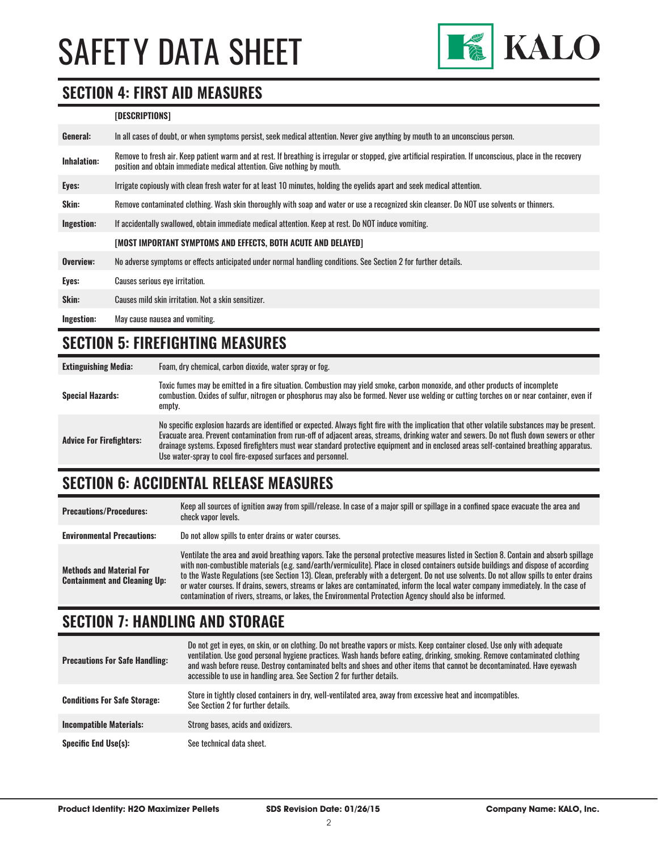

#### **SECTION 4: FIRST AID MEASURES**

#### **[DESCRIPTIONS]**

| General:           | In all cases of doubt, or when symptoms persist, seek medical attention. Never give anything by mouth to an unconscious person.                                                                                                         |
|--------------------|-----------------------------------------------------------------------------------------------------------------------------------------------------------------------------------------------------------------------------------------|
| <b>Inhalation:</b> | Remove to fresh air. Keep patient warm and at rest. If breathing is irregular or stopped, give artificial respiration. If unconscious, place in the recovery<br>position and obtain immediate medical attention. Give nothing by mouth. |
| Eyes:              | Irrigate copiously with clean fresh water for at least 10 minutes, holding the eyelids apart and seek medical attention.                                                                                                                |
| Skin:              | Remove contaminated clothing. Wash skin thoroughly with soap and water or use a recognized skin cleanser. Do NOT use solvents or thinners.                                                                                              |
| Ingestion:         | If accidentally swallowed, obtain immediate medical attention. Keep at rest, Do NOT induce vomiting.                                                                                                                                    |
|                    | [MOST IMPORTANT SYMPTOMS AND EFFECTS, BOTH ACUTE AND DELAYED]                                                                                                                                                                           |
| Overview:          | No adverse symptoms or effects anticipated under normal handling conditions. See Section 2 for further details.                                                                                                                         |
| Eyes:              | Causes serious eye irritation.                                                                                                                                                                                                          |
| Skin:              | Causes mild skin irritation. Not a skin sensitizer.                                                                                                                                                                                     |
| Ingestion:         | May cause nausea and vomiting.                                                                                                                                                                                                          |

#### **SECTION 5: FIREFIGHTING MEASURES**

| <b>Extinguishing Media:</b>     | Foam, dry chemical, carbon dioxide, water spray or fog.                                                                                                                                                                                                                                                                                                                                                                                                                                                   |
|---------------------------------|-----------------------------------------------------------------------------------------------------------------------------------------------------------------------------------------------------------------------------------------------------------------------------------------------------------------------------------------------------------------------------------------------------------------------------------------------------------------------------------------------------------|
| <b>Special Hazards:</b>         | Toxic fumes may be emitted in a fire situation. Combustion may yield smoke, carbon monoxide, and other products of incomplete<br>combustion. Oxides of sulfur, nitrogen or phosphorus may also be formed. Never use welding or cutting torches on or near container, even if<br>empty.                                                                                                                                                                                                                    |
| <b>Advice For Firefighters:</b> | No specific explosion hazards are identified or expected. Always fight fire with the implication that other volatile substances may be present.<br>Evacuate area. Prevent contamination from run-off of adjacent areas, streams, drinking water and sewers. Do not flush down sewers or other<br>drainage systems. Exposed firefighters must wear standard protective equipment and in enclosed areas self-contained breathing apparatus.<br>Use water-spray to cool fire-exposed surfaces and personnel. |

# **SECTION 6: ACCIDENTAL RELEASE MEASURES**

| <b>Precautions/Procedures:</b>                                         | Keep all sources of ignition away from spill/release. In case of a major spill or spillage in a confined space evacuate the area and<br>check vapor levels.                                                                                                                                                                                                                                                                                                                                                                                                                                                                                                               |
|------------------------------------------------------------------------|---------------------------------------------------------------------------------------------------------------------------------------------------------------------------------------------------------------------------------------------------------------------------------------------------------------------------------------------------------------------------------------------------------------------------------------------------------------------------------------------------------------------------------------------------------------------------------------------------------------------------------------------------------------------------|
| <b>Environmental Precautions:</b>                                      | Do not allow spills to enter drains or water courses.                                                                                                                                                                                                                                                                                                                                                                                                                                                                                                                                                                                                                     |
| <b>Methods and Material For</b><br><b>Containment and Cleaning Up:</b> | Ventilate the area and avoid breathing vapors. Take the personal protective measures listed in Section 8. Contain and absorb spillage<br>with non-combustible materials (e.g. sand/earth/vermiculite). Place in closed containers outside buildings and dispose of according<br>to the Waste Regulations (see Section 13). Clean, preferably with a detergent. Do not use solvents. Do not allow spills to enter drains<br>or water courses. If drains, sewers, streams or lakes are contaminated, inform the local water company immediately. In the case of<br>contamination of rivers, streams, or lakes, the Environmental Protection Agency should also be informed. |

# **SECTION 7: HANDLING AND STORAGE**

| <b>Precautions For Safe Handling:</b> | Do not get in eyes, on skin, or on clothing. Do not breathe vapors or mists. Keep container closed. Use only with adequate<br>ventilation. Use good personal hygiene practices. Wash hands before eating, drinking, smoking. Remove contaminated clothing<br>and wash before reuse. Destroy contaminated belts and shoes and other items that cannot be decontaminated. Have evewash<br>accessible to use in handling area. See Section 2 for further details. |
|---------------------------------------|----------------------------------------------------------------------------------------------------------------------------------------------------------------------------------------------------------------------------------------------------------------------------------------------------------------------------------------------------------------------------------------------------------------------------------------------------------------|
| <b>Conditions For Safe Storage:</b>   | Store in tightly closed containers in dry, well-ventilated area, away from excessive heat and incompatibles.<br>See Section 2 for further details.                                                                                                                                                                                                                                                                                                             |
| <b>Incompatible Materials:</b>        | Strong bases, acids and oxidizers.                                                                                                                                                                                                                                                                                                                                                                                                                             |
| <b>Specific End Use(s):</b>           | See technical data sheet.                                                                                                                                                                                                                                                                                                                                                                                                                                      |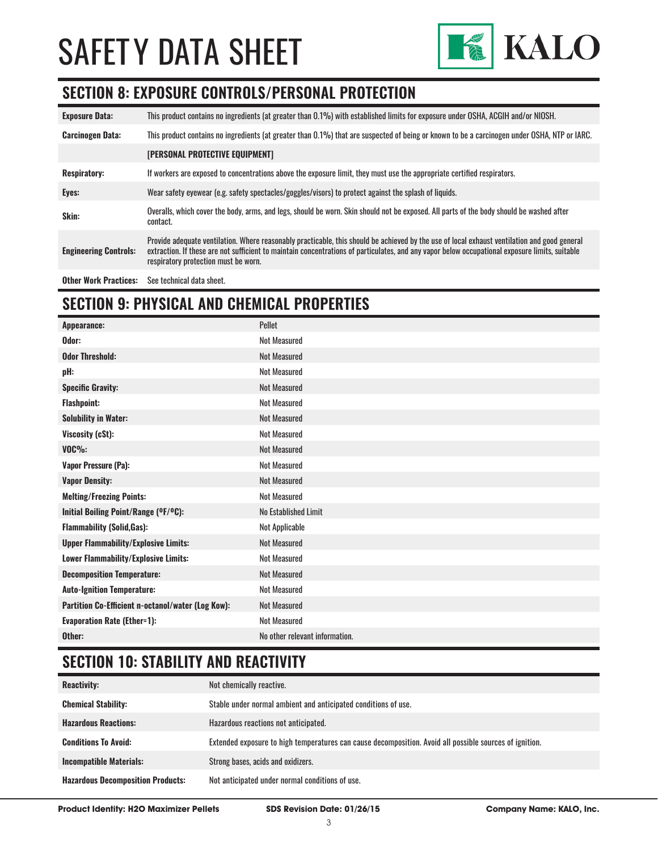

#### **SECTION 8: EXPOSURE CONTROLS/PERSONAL PROTECTION**

| <b>Exposure Data:</b>        | This product contains no ingredients (at greater than 0.1%) with established limits for exposure under OSHA, ACGIH and/or NIOSH.                                                                                                                                                                                                       |
|------------------------------|----------------------------------------------------------------------------------------------------------------------------------------------------------------------------------------------------------------------------------------------------------------------------------------------------------------------------------------|
| <b>Carcinogen Data:</b>      | This product contains no ingredients (at greater than 0.1%) that are suspected of being or known to be a carcinogen under OSHA, NTP or IARC.                                                                                                                                                                                           |
|                              | [PERSONAL PROTECTIVE EQUIPMENT]                                                                                                                                                                                                                                                                                                        |
| <b>Respiratory:</b>          | If workers are exposed to concentrations above the exposure limit, they must use the appropriate certified respirators.                                                                                                                                                                                                                |
| Eyes:                        | Wear safety eyewear (e.g. safety spectacles/goggles/visors) to protect against the splash of liquids.                                                                                                                                                                                                                                  |
| Skin:                        | Overalls, which cover the body, arms, and legs, should be worn. Skin should not be exposed. All parts of the body should be washed after<br>contact.                                                                                                                                                                                   |
| <b>Engineering Controls:</b> | Provide adequate ventilation. Where reasonably practicable, this should be achieved by the use of local exhaust ventilation and good general<br>extraction. If these are not sufficient to maintain concentrations of particulates, and any vapor below occupational exposure limits, suitable<br>respiratory protection must be worn. |
| <b>Other Work Practices:</b> | See technical data sheet.                                                                                                                                                                                                                                                                                                              |

# **SECTION 9: PHYSICAL AND CHEMICAL PROPERTIES**

| Appearance:                                       | Pellet                         |
|---------------------------------------------------|--------------------------------|
| Odor:                                             | <b>Not Measured</b>            |
| <b>Odor Threshold:</b>                            | <b>Not Measured</b>            |
| pH:                                               | Not Measured                   |
| <b>Specific Gravity:</b>                          | <b>Not Measured</b>            |
| <b>Flashpoint:</b>                                | <b>Not Measured</b>            |
| <b>Solubility in Water:</b>                       | <b>Not Measured</b>            |
| Viscosity (cSt):                                  | <b>Not Measured</b>            |
| $VOC\%$ :                                         | <b>Not Measured</b>            |
| <b>Vapor Pressure (Pa):</b>                       | <b>Not Measured</b>            |
| <b>Vapor Density:</b>                             | <b>Not Measured</b>            |
| <b>Melting/Freezing Points:</b>                   | <b>Not Measured</b>            |
| Initial Boiling Point/Range (°F/°C):              | No Established Limit           |
| <b>Flammability (Solid, Gas):</b>                 | Not Applicable                 |
| <b>Upper Flammability/Explosive Limits:</b>       | <b>Not Measured</b>            |
| Lower Flammability/Explosive Limits:              | <b>Not Measured</b>            |
| <b>Decomposition Temperature:</b>                 | <b>Not Measured</b>            |
| <b>Auto-Ignition Temperature:</b>                 | <b>Not Measured</b>            |
| Partition Co-Efficient n-octanol/water (Log Kow): | <b>Not Measured</b>            |
| <b>Evaporation Rate (Ether=1):</b>                | <b>Not Measured</b>            |
| Other:                                            | No other relevant information. |

# **SECTION 10: STABILITY AND REACTIVITY**

| <b>Reactivity:</b>                       | Not chemically reactive.                                                                                |
|------------------------------------------|---------------------------------------------------------------------------------------------------------|
| <b>Chemical Stability:</b>               | Stable under normal ambient and anticipated conditions of use.                                          |
| <b>Hazardous Reactions:</b>              | Hazardous reactions not anticipated.                                                                    |
| <b>Conditions To Avoid:</b>              | Extended exposure to high temperatures can cause decomposition. Avoid all possible sources of ignition. |
| <b>Incompatible Materials:</b>           | Strong bases, acids and oxidizers.                                                                      |
| <b>Hazardous Decomposition Products:</b> | Not anticipated under normal conditions of use.                                                         |

**Product Identity: H2O Maximizer Pellets SDS Revision Date: 01/26/15 Company Name: KALO, Inc.**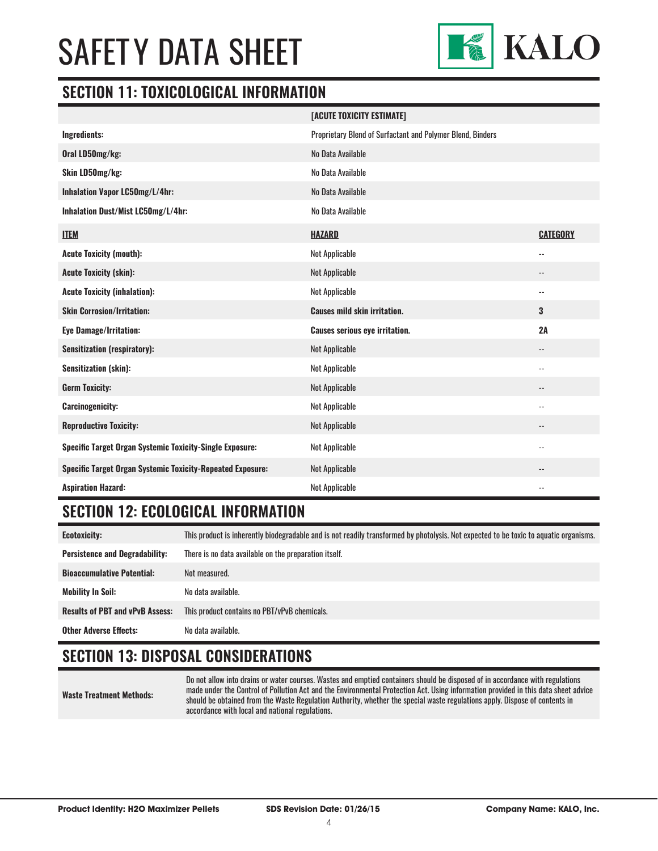

#### **SECTION 11: TOXICOLOGICAL INFORMATION**

|                                                                   | [ACUTE TOXICITY ESTIMATE]                                  |                          |
|-------------------------------------------------------------------|------------------------------------------------------------|--------------------------|
| Ingredients:                                                      | Proprietary Blend of Surfactant and Polymer Blend, Binders |                          |
| Oral LD50mg/kg:                                                   | No Data Available                                          |                          |
| Skin LD50mg/kg:                                                   | No Data Available                                          |                          |
| Inhalation Vapor LC50mg/L/4hr:                                    | No Data Available                                          |                          |
| Inhalation Dust/Mist LC50mg/L/4hr:                                | No Data Available                                          |                          |
| <b>ITEM</b>                                                       | <b>HAZARD</b>                                              | <b>CATEGORY</b>          |
| <b>Acute Toxicity (mouth):</b>                                    | Not Applicable                                             | $\overline{\phantom{a}}$ |
| <b>Acute Toxicity (skin):</b>                                     | Not Applicable                                             | $\qquad \qquad -$        |
| <b>Acute Toxicity (inhalation):</b>                               | <b>Not Applicable</b>                                      | $\overline{\phantom{a}}$ |
| <b>Skin Corrosion/Irritation:</b>                                 | <b>Causes mild skin irritation.</b>                        | 3                        |
| <b>Eye Damage/Irritation:</b>                                     | <b>Causes serious eye irritation.</b>                      | 2A                       |
| <b>Sensitization (respiratory):</b>                               | Not Applicable                                             | $\overline{\phantom{a}}$ |
| <b>Sensitization (skin):</b>                                      | Not Applicable                                             | $\overline{\phantom{a}}$ |
| <b>Germ Toxicity:</b>                                             | Not Applicable                                             | $\qquad \qquad -$        |
| <b>Carcinogenicity:</b>                                           | <b>Not Applicable</b>                                      | $\overline{\phantom{a}}$ |
| <b>Reproductive Toxicity:</b>                                     | Not Applicable                                             | $-$                      |
| <b>Specific Target Organ Systemic Toxicity-Single Exposure:</b>   | Not Applicable                                             | $- -$                    |
| <b>Specific Target Organ Systemic Toxicity-Repeated Exposure:</b> | <b>Not Applicable</b>                                      |                          |
| <b>Aspiration Hazard:</b>                                         | Not Applicable                                             | $\overline{\phantom{a}}$ |

### **SECTION 12: ECOLOGICAL INFORMATION**

**Ecotoxicity:** This product is inherently biodegradable and is not readily transformed by photolysis. Not expected to be toxic to aquatic organisms. **Persistence and Degradability:** There is no data available on the preparation itself. **Bioaccumulative Potential:** Not measured. **Mobility In Soil:** No data available. **Results of PBT and vPvB Assess:** This product contains no PBT/vPvB chemicals. **Other Adverse Effects:** No data available.

# **SECTION 13: DISPOSAL CONSIDERATIONS**

**Waste Treatment Methods:**

Do not allow into drains or water courses. Wastes and emptied containers should be disposed of in accordance with regulations made under the Control of Pollution Act and the Environmental Protection Act. Using information provided in this data sheet advice should be obtained from the Waste Regulation Authority, whether the special waste regulations apply. Dispose of contents in accordance with local and national regulations.